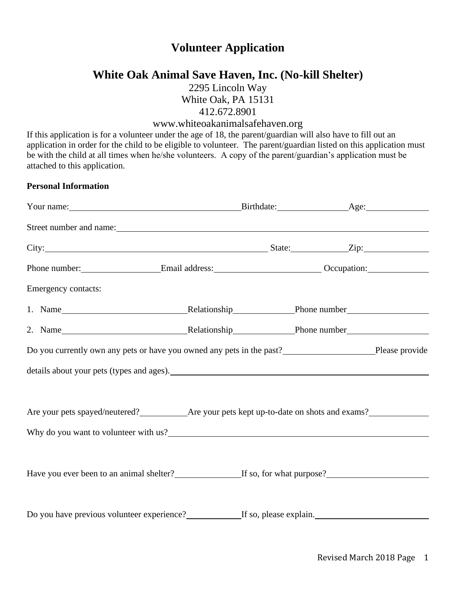# **Volunteer Application**

## **White Oak Animal Save Haven, Inc. (No-kill Shelter)**

2295 Lincoln Way White Oak, PA 15131 412.672.8901

### [www.whiteoakanimalsafehaven.org](http://www.whiteoakanimalsafehaven.org/)

If this application is for a volunteer under the age of 18, the parent/guardian will also have to fill out an application in order for the child to be eligible to volunteer. The parent/guardian listed on this application must be with the child at all times when he/she volunteers. A copy of the parent/guardian's application must be attached to this application.

#### **Personal Information**

| Street number and name:                                                                          |  |  |
|--------------------------------------------------------------------------------------------------|--|--|
|                                                                                                  |  |  |
| Phone number: Email address: Campaigneer Cocupation: Cocupation:                                 |  |  |
| Emergency contacts:                                                                              |  |  |
|                                                                                                  |  |  |
|                                                                                                  |  |  |
| Do you currently own any pets or have you owned any pets in the past?<br>Please provide          |  |  |
| details about your pets (types and ages).<br><u>Lettails</u> about your pets (types and ages).   |  |  |
|                                                                                                  |  |  |
| Are your pets spayed/neutered?<br><u>Are your pets kept up-to-date on shots and exams?</u>       |  |  |
|                                                                                                  |  |  |
|                                                                                                  |  |  |
| Have you ever been to an animal shelter?<br>If so, for what purpose?<br>If so, for what purpose? |  |  |
|                                                                                                  |  |  |
| Do you have previous volunteer experience?<br>If so, please explain.                             |  |  |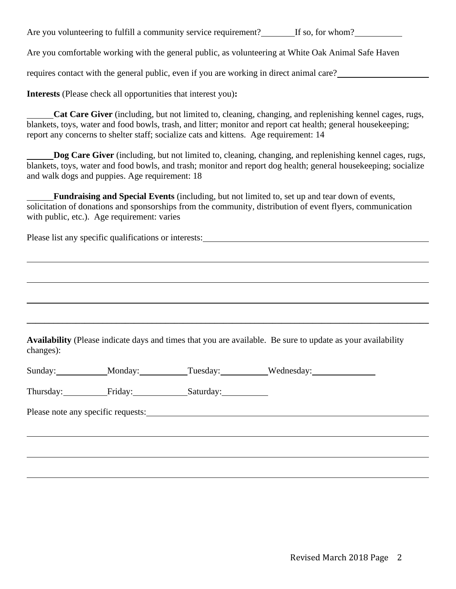Are you volunteering to fulfill a community service requirement? If so, for whom?

Are you comfortable working with the general public, as volunteering at White Oak Animal Safe Haven

requires contact with the general public, even if you are working in direct animal care?

**Interests** (Please check all opportunities that interest you)**:**

**Cat Care Giver** (including, but not limited to, cleaning, changing, and replenishing kennel cages, rugs, blankets, toys, water and food bowls, trash, and litter; monitor and report cat health; general housekeeping; report any concerns to shelter staff; socialize cats and kittens. Age requirement: 14

**Dog Care Giver** (including, but not limited to, cleaning, changing, and replenishing kennel cages, rugs, blankets, toys, water and food bowls, and trash; monitor and report dog health; general housekeeping; socialize and walk dogs and puppies. Age requirement: 18

**Fundraising and Special Events** (including, but not limited to, set up and tear down of events, solicitation of donations and sponsorships from the community, distribution of event flyers, communication with public, etc.). Age requirement: varies

Please list any specific qualifications or interests:

**Availability** (Please indicate days and times that you are available. Be sure to update as your availability changes):

**\_\_\_\_\_\_\_\_\_\_\_\_\_\_\_\_\_\_\_\_\_\_\_\_\_\_\_\_\_\_\_\_\_\_\_\_\_\_\_\_\_\_\_\_\_\_\_\_\_\_\_\_\_\_\_\_\_\_\_\_\_\_\_\_\_\_\_\_\_\_\_\_\_\_\_\_\_\_\_\_\_\_\_\_\_\_\_\_\_\_**

| Sunday:   | Monday: | Tuesday:  | Wednesday: |
|-----------|---------|-----------|------------|
| Thursday: | Friday: | Saturday: |            |

Please note any specific requests: